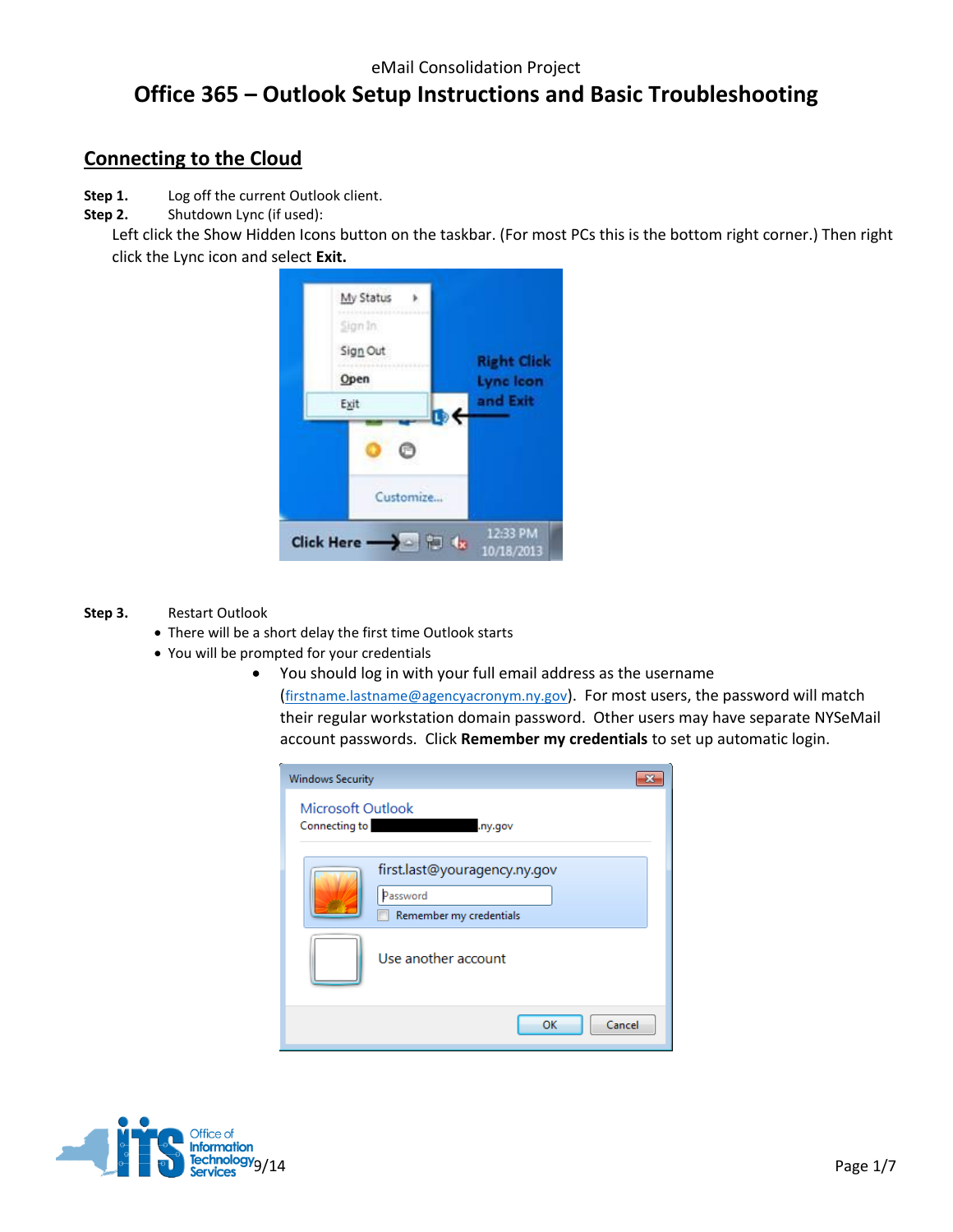## eMail Consolidation Project **Office 365 – Outlook Setup Instructions and Basic Troubleshooting**

### **Connecting to the Cloud**

**Step 1.** Log off the current Outlook client.

**Step 2.** Shutdown Lync (if used):

Left click the Show Hidden Icons button on the taskbar. (For most PCs this is the bottom right corner.) Then right click the Lync icon and select **Exit.**



#### **Step 3.** Restart Outlook

- There will be a short delay the first time Outlook starts
- You will be prompted for your credentials
	- You should log in with your full email address as the username

([firstname.lastname@agencyacronym.ny.gov](mailto:firstname.lastname@agencyacronym.ny.gov)). For most users, the password will match their regular workstation domain password. Other users may have separate NYSeMail account passwords. Click **Remember my credentials** to set up automatic login.

| <b>Windows Security</b>                                             |  |
|---------------------------------------------------------------------|--|
| Microsoft Outlook<br>Connecting to<br>.ny.gov                       |  |
| first.last@youragency.ny.gov<br>Password<br>Remember my credentials |  |
| Use another account                                                 |  |
| OK<br>Cancel                                                        |  |

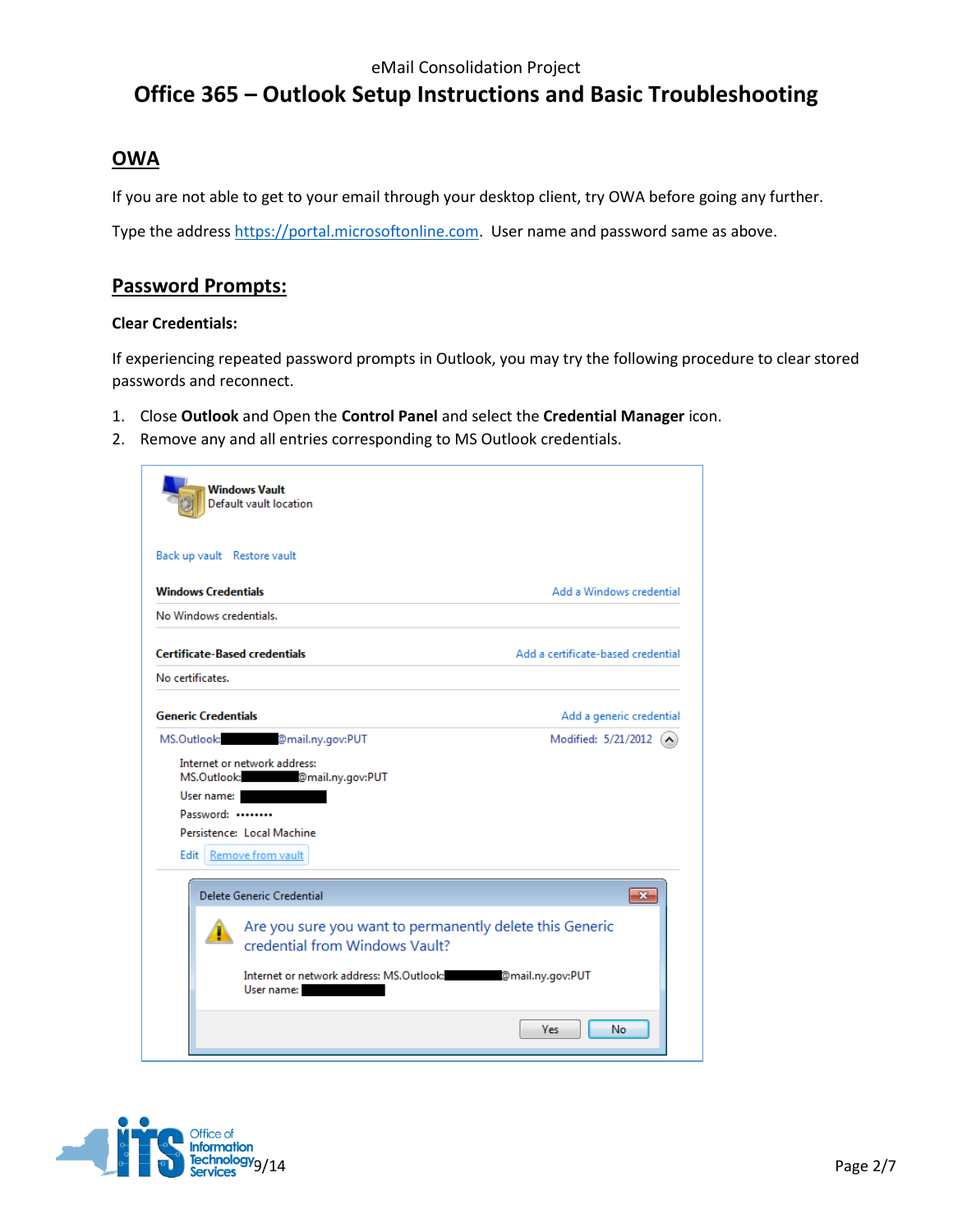### **OWA**

If you are not able to get to your email through your desktop client, try OWA before going any further.

Type the addres[s https://portal.microsoftonline.com.](https://portal.microsoftonline.com/) User name and password same as above.

### **Password Prompts:**

#### **Clear Credentials:**

If experiencing repeated password prompts in Outlook, you may try the following procedure to clear stored passwords and reconnect.

- 1. Close **Outlook** and Open the **Control Panel** and select the **Credential Manager** icon.
- 2. Remove any and all entries corresponding to MS Outlook credentials.



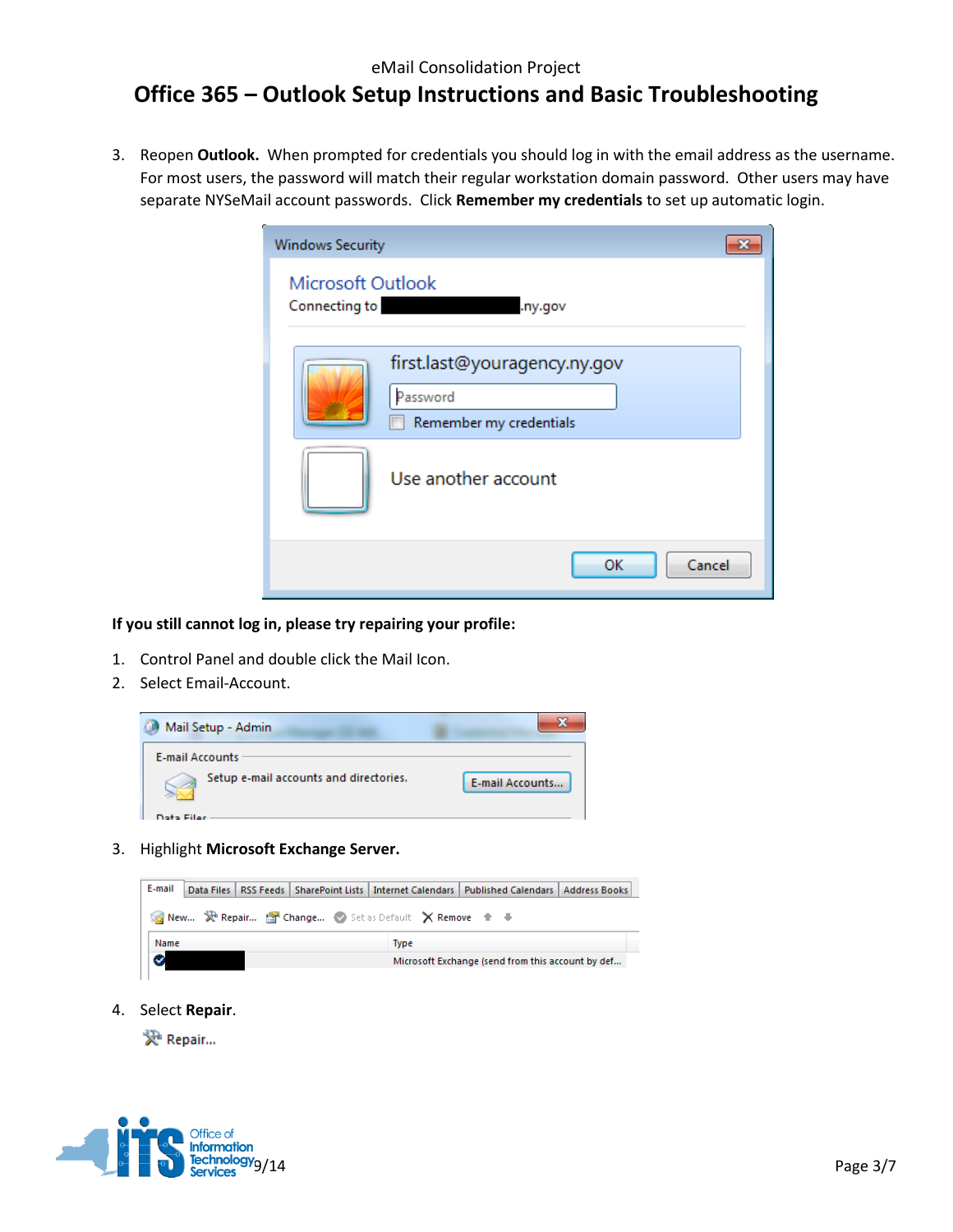#### eMail Consolidation Project

## **Office 365 – Outlook Setup Instructions and Basic Troubleshooting**

3. Reopen **Outlook.** When prompted for credentials you should log in with the email address as the username. For most users, the password will match their regular workstation domain password. Other users may have separate NYSeMail account passwords. Click **Remember my credentials** to set up automatic login.

| <b>Windows Security</b>                   |                                                                     |  |
|-------------------------------------------|---------------------------------------------------------------------|--|
| <b>Microsoft Outlook</b><br>Connecting to | .ny.gov                                                             |  |
|                                           | first.last@youragency.ny.gov<br>Password<br>Remember my credentials |  |
|                                           | Use another account                                                 |  |
|                                           | OK<br>Cancel                                                        |  |

#### **If you still cannot log in, please try repairing your profile:**

- 1. Control Panel and double click the Mail Icon.
- 2. Select Email-Account.



3. Highlight **Microsoft Exchange Server.**



4. Select **Repair**.

发 Repair...

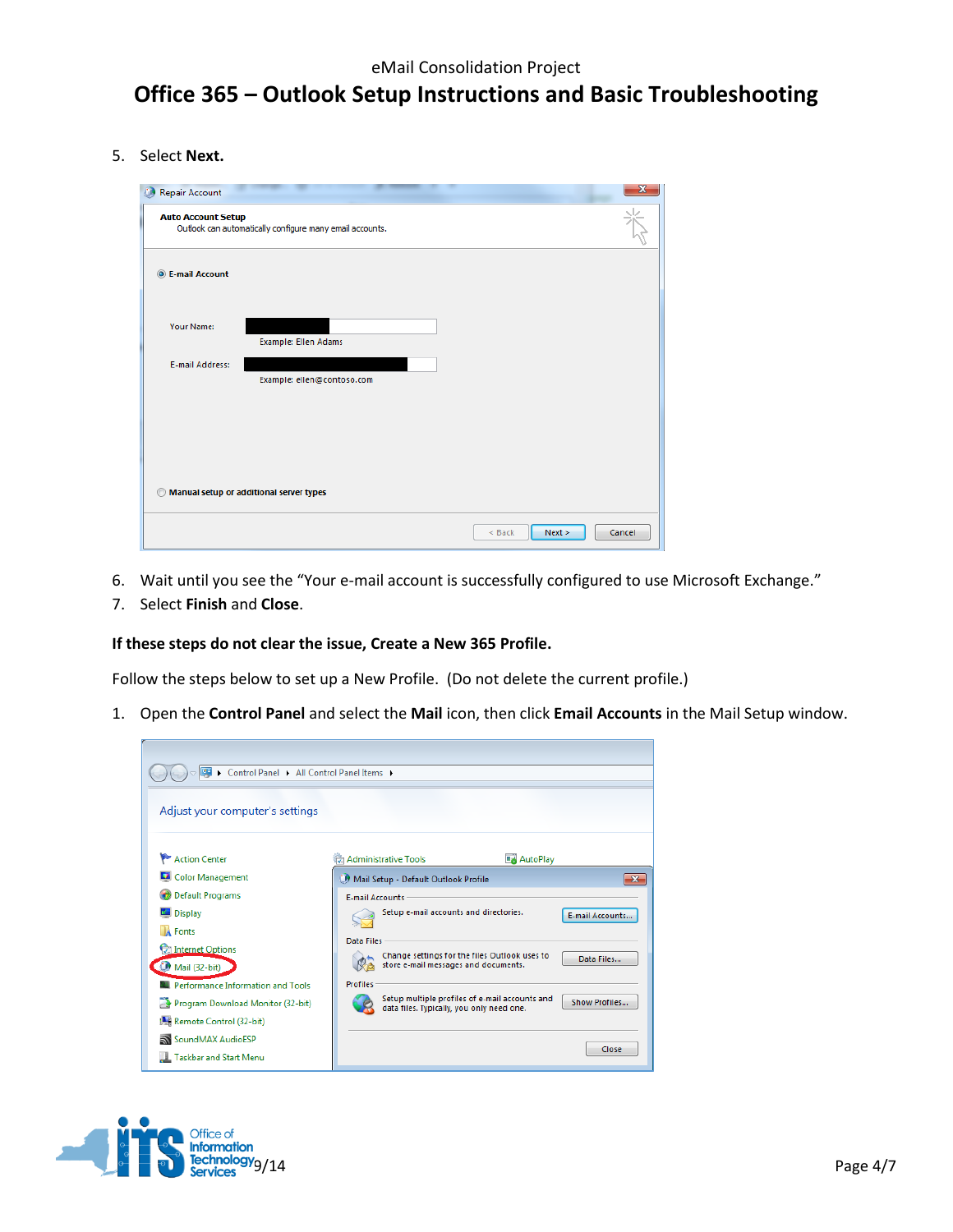5. Select **Next.**

| <b>Repair Account</b>                                                                      |                                         |                  | $\mathbf x$ |  |
|--------------------------------------------------------------------------------------------|-----------------------------------------|------------------|-------------|--|
| 家<br><b>Auto Account Setup</b><br>Outlook can automatically configure many email accounts. |                                         |                  |             |  |
| <b>O</b> E-mail Account                                                                    |                                         |                  |             |  |
| <b>Your Name:</b>                                                                          | <b>Example: Ellen Adams</b>             |                  |             |  |
| <b>E-mail Address:</b>                                                                     | Example: ellen@contoso.com              |                  |             |  |
|                                                                                            |                                         |                  |             |  |
|                                                                                            |                                         |                  |             |  |
| ◎                                                                                          | Manual setup or additional server types |                  |             |  |
|                                                                                            |                                         | Next ><br>< Back | Cancel      |  |

- 6. Wait until you see the "Your e-mail account is successfully configured to use Microsoft Exchange."
- 7. Select **Finish** and **Close**.

r

#### **If these steps do not clear the issue, Create a New 365 Profile.**

Follow the steps below to set up a New Profile. (Do not delete the current profile.)

1. Open the **Control Panel** and select the **Mail** icon, then click **Email Accounts** in the Mail Setup window.

| © > Control Panel > All Control Panel Items > |                        |                                                                                             |                 |                 |
|-----------------------------------------------|------------------------|---------------------------------------------------------------------------------------------|-----------------|-----------------|
| Adjust your computer's settings               |                        |                                                                                             |                 |                 |
| Action Center                                 |                        | <b>C</b> Administrative Tools                                                               | <b>AutoPlay</b> |                 |
| Color Management                              |                        | Mail Setup - Default Outlook Profile                                                        |                 | $\mathbf{x}$    |
| <b>Default Programs</b>                       | <b>E-mail Accounts</b> |                                                                                             |                 |                 |
| Display                                       |                        | Setup e-mail accounts and directories.                                                      |                 | E-mail Accounts |
| <b>A</b> Fonts                                | Data Files             |                                                                                             |                 |                 |
| Internet Options                              |                        | Change settings for the files Outlook uses to                                               |                 | Data Files      |
| Mail (32-bit)                                 |                        | store e-mail messages and documents.                                                        |                 |                 |
| <b>N. Performance Information and Tools</b>   | <b>Profiles</b>        |                                                                                             |                 |                 |
| Program Download Monitor (32-bit)             |                        | Setup multiple profiles of e-mail accounts and<br>data files. Typically, you only need one. |                 | Show Profiles   |
| Remote Control (32-bit)                       |                        |                                                                                             |                 |                 |
| SoundMAX AudioESP                             |                        |                                                                                             |                 |                 |
| <b>Taskbar and Start Menu</b>                 |                        |                                                                                             |                 | Close           |

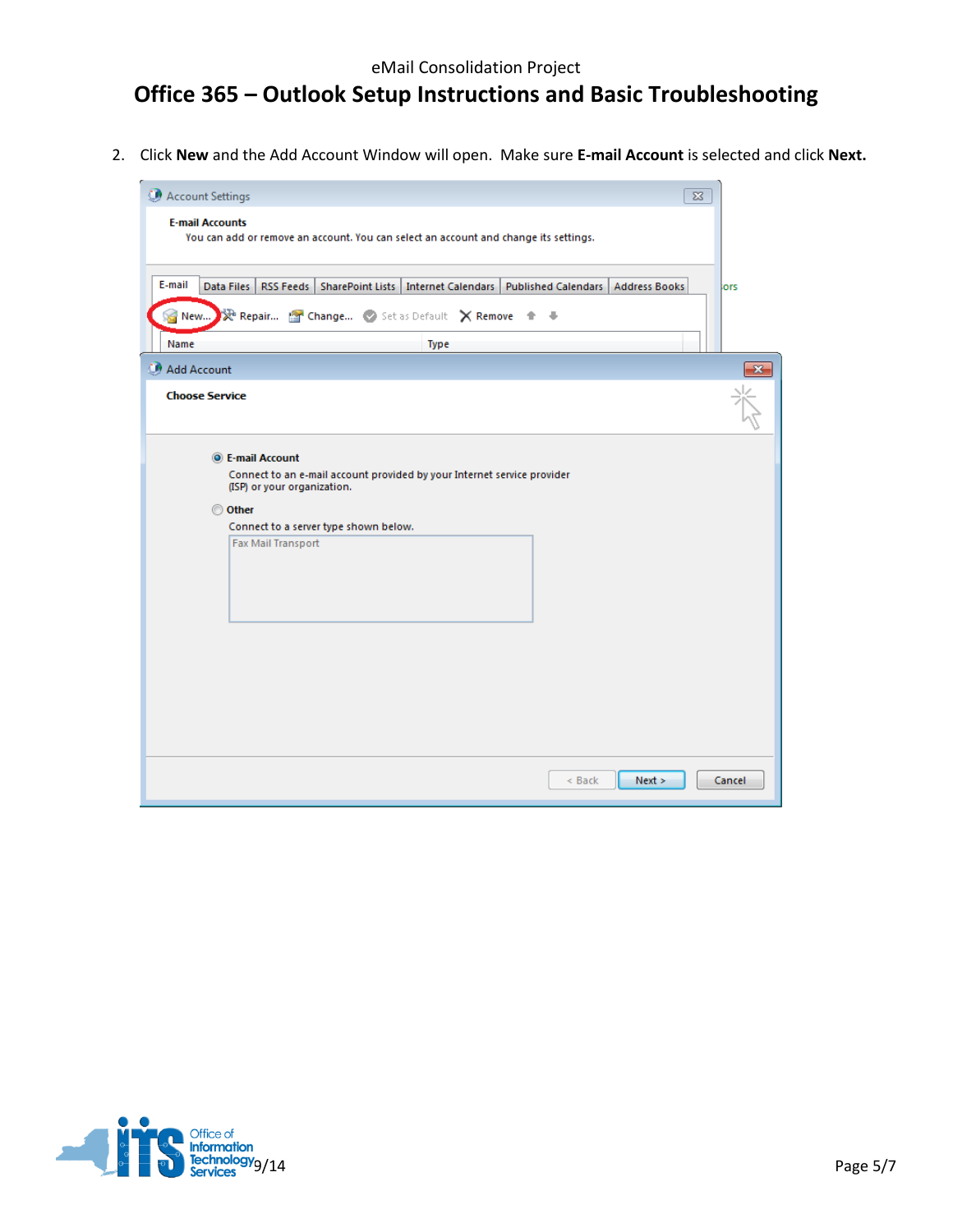2. Click **New** and the Add Account Window will open. Make sure **E-mail Account** is selected and click **Next.**

| Account Settings                                                                                                                                                                                                   | $\Sigma$ |       |
|--------------------------------------------------------------------------------------------------------------------------------------------------------------------------------------------------------------------|----------|-------|
| <b>E-mail Accounts</b><br>You can add or remove an account. You can select an account and change its settings.                                                                                                     |          |       |
| E-mail<br>Data Files<br>RSS Feeds   SharePoint Lists   Internet Calendars   Published Calendars   Address Books<br>Repair <sup>2</sup> Change Set as Default X Remove +<br>New<br>- 4                              | lors     |       |
| Name<br><b>Type</b>                                                                                                                                                                                                |          |       |
| Add Account<br><b>Choose Service</b>                                                                                                                                                                               |          | $-25$ |
| <b>O</b> E-mail Account<br>Connect to an e-mail account provided by your Internet service provider<br>(ISP) or your organization.<br>© Other<br>Connect to a server type shown below.<br><b>Fax Mail Transport</b> |          |       |
| $<$ Back<br>Next >                                                                                                                                                                                                 | Cancel   |       |

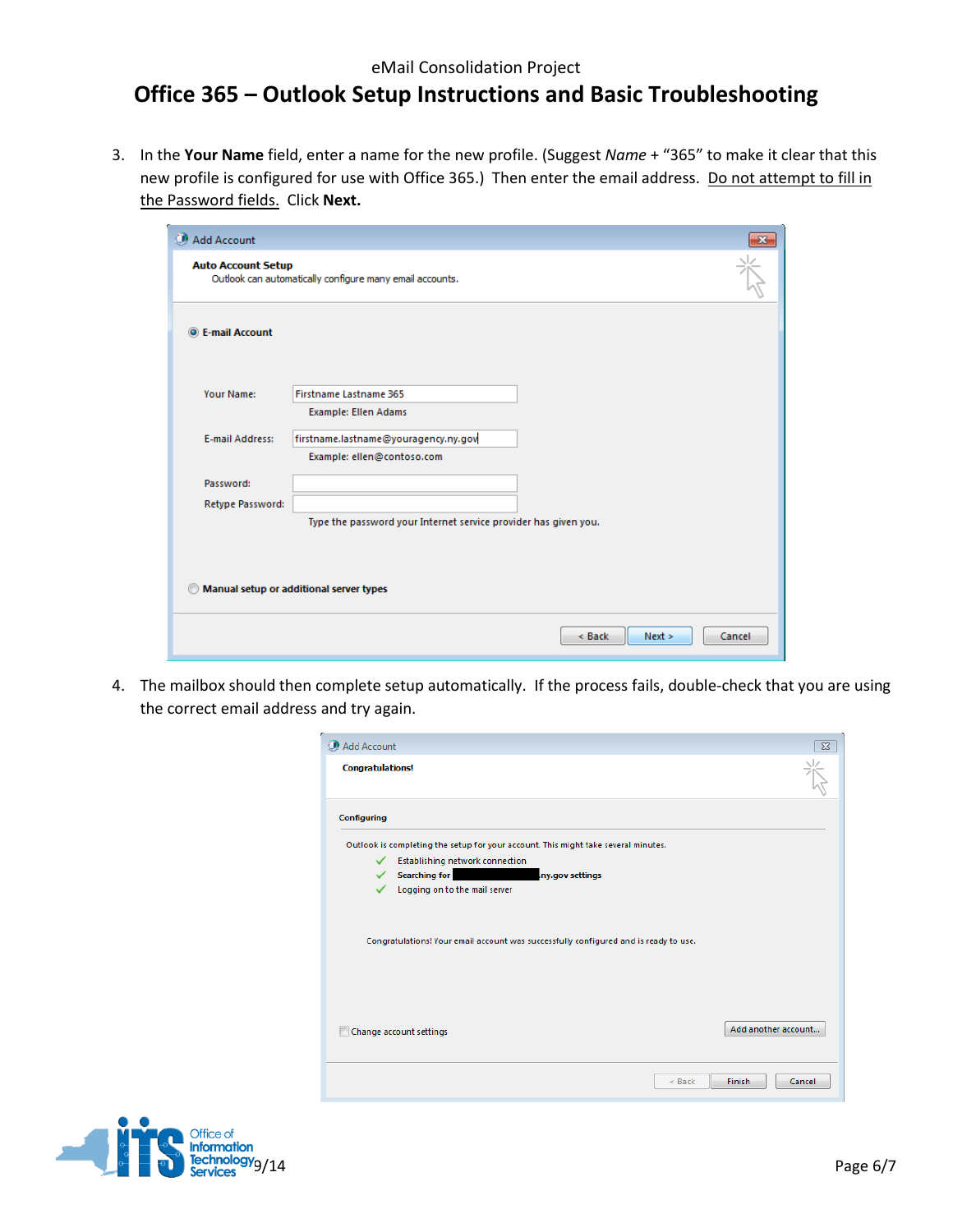### eMail Consolidation Project

## **Office 365 – Outlook Setup Instructions and Basic Troubleshooting**

3. In the **Your Name** field, enter a name for the new profile. (Suggest *Name* + "365" to make it clear that this new profile is configured for use with Office 365.) Then enter the email address. Do not attempt to fill in the Password fields. Click **Next.**

| Add Account               |                                                                    | $\mathbf{x}$ |
|---------------------------|--------------------------------------------------------------------|--------------|
| <b>Auto Account Setup</b> | Outlook can automatically configure many email accounts.           |              |
| <b>O</b> E-mail Account   |                                                                    |              |
| <b>Your Name:</b>         | <b>Firstname Lastname 365</b><br><b>Example: Ellen Adams</b>       |              |
| <b>E-mail Address:</b>    | firstname.lastname@youragency.ny.gov<br>Example: ellen@contoso.com |              |
| Password:                 |                                                                    |              |
| Retype Password:          | Type the password your Internet service provider has given you.    |              |
|                           |                                                                    |              |
|                           | Manual setup or additional server types                            |              |
|                           | Next ><br>$<$ Back                                                 | Cancel       |

4. The mailbox should then complete setup automatically. If the process fails, double-check that you are using the correct email address and try again.

| Add Account             |                                                                                      |                     |
|-------------------------|--------------------------------------------------------------------------------------|---------------------|
| <b>Congratulations!</b> |                                                                                      |                     |
| Configuring             |                                                                                      |                     |
|                         | Outlook is completing the setup for your account. This might take several minutes.   |                     |
| ✓                       | Establishing network connection                                                      |                     |
| ✓                       | <b>Searching for Search 1999</b><br>ny.gov settings                                  |                     |
|                         | Logging on to the mail server                                                        |                     |
|                         | Congratulations! Your email account was successfully configured and is ready to use. |                     |
|                         | Change account settings                                                              | Add another account |
|                         | $<$ Back                                                                             | Finish<br>Cancel    |

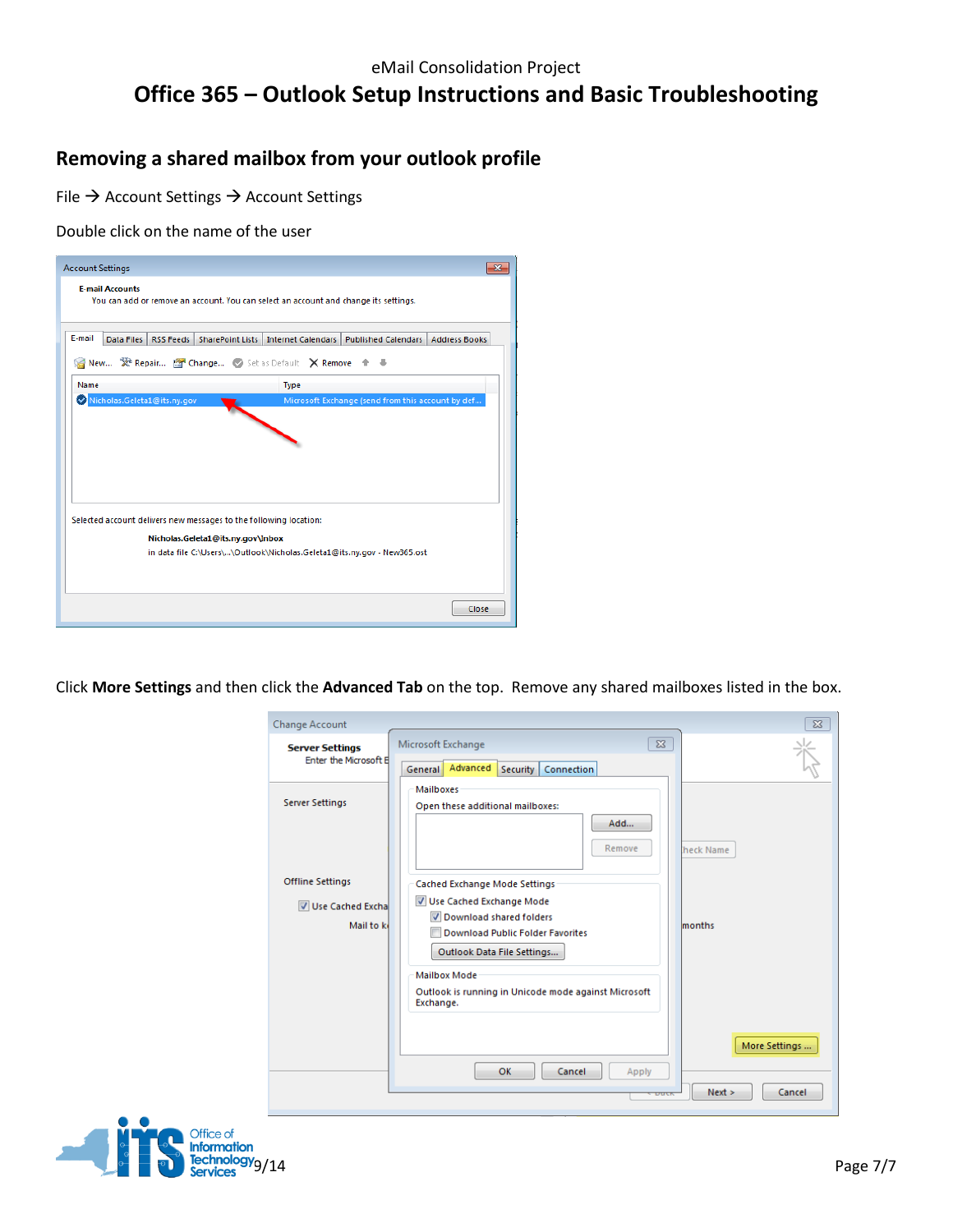## **Removing a shared mailbox from your outlook profile**

File  $\rightarrow$  Account Settings  $\rightarrow$  Account Settings

Double click on the name of the user

| <b>Account Settings</b> | Ж                                                                                                                                                                  |
|-------------------------|--------------------------------------------------------------------------------------------------------------------------------------------------------------------|
| <b>F-mail Accounts</b>  | You can add or remove an account. You can select an account and change its settings.                                                                               |
| E-mail                  | Data Files<br>RSS Feeds   SharePoint Lists   Internet Calendars   Published Calendars   Address Books<br>New X Repair <sup>19</sup> Change Set as Default X Remove |
| Name                    | <b>Type</b>                                                                                                                                                        |
|                         | Nicholas.Geleta1@its.ny.gov<br>Microsoft Exchange (send from this account by def                                                                                   |
|                         |                                                                                                                                                                    |
|                         | Selected account delivers new messages to the following location:                                                                                                  |
|                         | Nicholas.Geleta1@its.ny.gov\Inbox                                                                                                                                  |
|                         | in data file C:\Users\\Outlook\Nicholas.Geleta1@its.ny.gov - New365.ost                                                                                            |
|                         |                                                                                                                                                                    |

Click **More Settings** and then click the **Advanced Tab** on the top. Remove any shared mailboxes listed in the box.

| <b>Change Account</b><br><b>Server Settings</b><br>Enter the Microsoft B | $\Sigma$<br>Microsoft Exchange<br>Advanced<br>Connection<br>Security<br>General                                                                                                                                          | $\Sigma$                          |
|--------------------------------------------------------------------------|--------------------------------------------------------------------------------------------------------------------------------------------------------------------------------------------------------------------------|-----------------------------------|
| <b>Server Settings</b>                                                   | <b>Mailboxes</b><br>Open these additional mailboxes:<br>Add<br>Remove                                                                                                                                                    | heck Name                         |
| <b>Offline Settings</b>                                                  | <b>Cached Exchange Mode Settings</b>                                                                                                                                                                                     |                                   |
| Use Cached Excha<br>Mail to k                                            | Use Cached Exchange Mode<br>Download shared folders<br><b>Download Public Folder Favorites</b><br>Outlook Data File Settings<br><b>Mailbox Mode</b><br>Outlook is running in Unicode mode against Microsoft<br>Exchange. | months                            |
|                                                                          | OK<br>Cancel<br>Apply<br>DUCK                                                                                                                                                                                            | More Settings<br>Next ><br>Cancel |